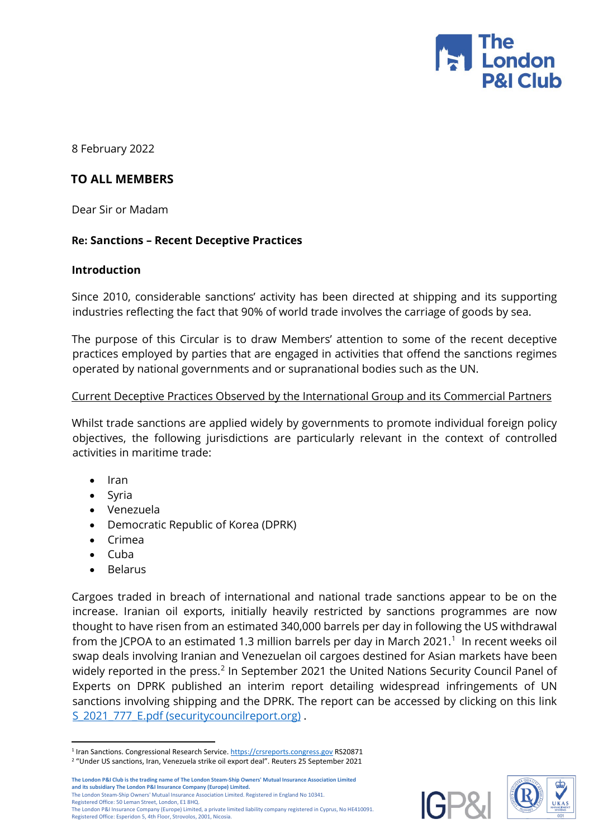

8 February 2022

# **TO ALL MEMBERS**

Dear Sir or Madam

# **Re: Sanctions – Recent Deceptive Practices**

#### **Introduction**

Since 2010, considerable sanctions' activity has been directed at shipping and its supporting industries reflecting the fact that 90% of world trade involves the carriage of goods by sea.

The purpose of this Circular is to draw Members' attention to some of the recent deceptive practices employed by parties that are engaged in activities that offend the sanctions regimes operated by national governments and or supranational bodies such as the UN.

#### Current Deceptive Practices Observed by the International Group and its Commercial Partners

Whilst trade sanctions are applied widely by governments to promote individual foreign policy objectives, the following jurisdictions are particularly relevant in the context of controlled activities in maritime trade:

- Iran
- Syria
- Venezuela
- Democratic Republic of Korea (DPRK)
- Crimea
- Cuba
- Belarus

Cargoes traded in breach of international and national trade sanctions appear to be on the increase. Iranian oil exports, initially heavily restricted by sanctions programmes are now thought to have risen from an estimated 340,000 barrels per day in following the US withdrawal from the JCPOA to an estimated [1](#page-0-0).3 million barrels per day in March 2021. $1$  In recent weeks oil swap deals involving Iranian and Venezuelan oil cargoes destined for Asian markets have been widely reported in the press.<sup>[2](#page-0-1)</sup> In September 2021 the United Nations Security Council Panel of Experts on DPRK published an interim report detailing widespread infringements of UN sanctions involving shipping and the DPRK. The report can be accessed by clicking on this link [S\\_2021\\_777\\_E.pdf \(securitycouncilreport.org\)](https://www.securitycouncilreport.org/atf/cf/%7B65BFCF9B-6D27-4E9C-8CD3-CF6E4FF96FF9%7D/S_2021_777_E.pdf) .

**The London P&I Club is the trading name of The London Steam-Ship Owners' Mutual Insurance Association Limited and its subsidiary The London P&I Insurance Company (Europe) Limited.** The London Steam-Ship Owners' Mutual Insurance Association Limited. Registered in England No 10341. Registered Office: 50 Leman Street, London, E1 8HQ. The London P&I Insurance Company (Europe) Limited, a private limited liability company registered in Cyprus, No HE410091. Registered Office: Esperidon 5, 4th Floor, Strovolos, 2001, Nicosia.





<sup>-</sup><sup>1</sup> Iran Sanctions. Congressional Research Service[. https://crsreports.congress.gov](https://crsreports.congress.gov/) RS20871

<span id="page-0-1"></span><span id="page-0-0"></span><sup>2</sup> "Under US sanctions, Iran, Venezuela strike oil export deal". Reuters 25 September 2021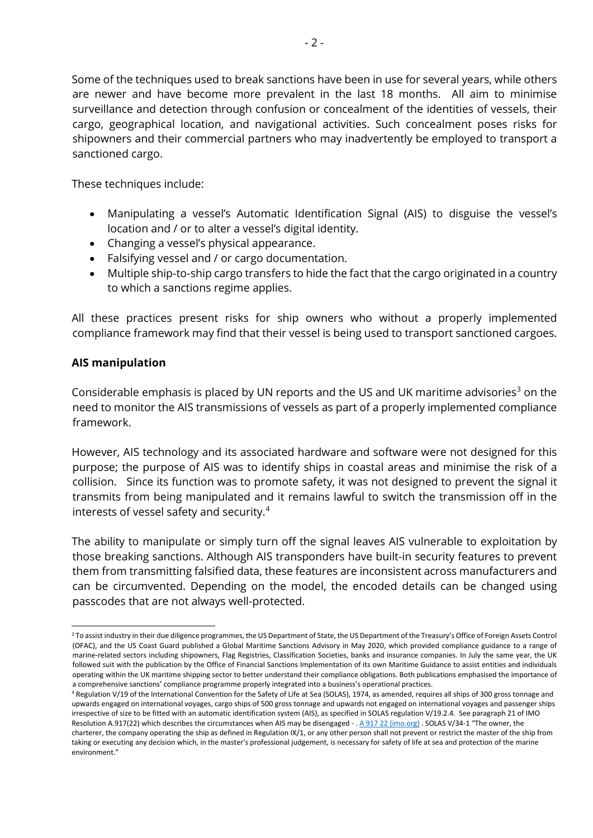Some of the techniques used to break sanctions have been in use for several years, while others are newer and have become more prevalent in the last 18 months. All aim to minimise surveillance and detection through confusion or concealment of the identities of vessels, their cargo, geographical location, and navigational activities. Such concealment poses risks for shipowners and their commercial partners who may inadvertently be employed to transport a sanctioned cargo.

These techniques include:

- Manipulating a vessel's Automatic Identification Signal (AIS) to disguise the vessel's location and / or to alter a vessel's digital identity.
- Changing a vessel's physical appearance.
- Falsifying vessel and / or cargo documentation.
- Multiple ship-to-ship cargo transfers to hide the fact that the cargo originated in a country to which a sanctions regime applies.

All these practices present risks for ship owners who without a properly implemented compliance framework may find that their vessel is being used to transport sanctioned cargoes.

# **AIS manipulation**

Considerable emphasis is placed by UN reports and the US and UK maritime advisories<sup>[3](#page-1-0)</sup> on the need to monitor the AIS transmissions of vessels as part of a properly implemented compliance framework.

However, AIS technology and its associated hardware and software were not designed for this purpose; the purpose of AIS was to identify ships in coastal areas and minimise the risk of a collision. Since its function was to promote safety, it was not designed to prevent the signal it transmits from being manipulated and it remains lawful to switch the transmission off in the interests of vessel safety and security.[4](#page-1-1)

The ability to manipulate or simply turn off the signal leaves AIS vulnerable to exploitation by those breaking sanctions. Although AIS transponders have built-in security features to prevent them from transmitting falsified data, these features are inconsistent across manufacturers and can be circumvented. Depending on the model, the encoded details can be changed using passcodes that are not always well-protected.

<span id="page-1-0"></span><sup>-</sup><sup>3</sup> To assist industry in their due diligence programmes, the US Department of State, the US Department of the Treasury's Office of Foreign Assets Control (OFAC), and the US Coast Guard published a Global Maritime Sanctions Advisory in May 2020, which provided compliance guidance to a range of marine-related sectors including shipowners, Flag Registries, Classification Societies, banks and insurance companies. In July the same year, the UK followed suit with the publication by the Office of Financial Sanctions Implementation of its own Maritime Guidance to assist entities and individuals operating within the UK maritime shipping sector to better understand their compliance obligations. Both publications emphasised the importance of a comprehensive sanctions' compliance programme properly integrated into a business's operational practices.

<span id="page-1-1"></span><sup>4</sup> Regulation V/19 of the International Convention for the Safety of Life at Sea (SOLAS), 1974, as amended, requires all ships of 300 gross tonnage and upwards engaged on international voyages, cargo ships of 500 gross tonnage and upwards not engaged on international voyages and passenger ships irrespective of size to be fitted with an automatic identification system (AIS), as specified in SOLAS regulation V/19.2.4. See paragraph 21 of IMO Resolution A.917(22) which describes the circumstances when AIS may be disengaged - [. A 917 22 \(imo.org\)](https://wwwcdn.imo.org/localresources/en/KnowledgeCentre/IndexofIMOResolutions/AssemblyDocuments/A.917(22).pdf) . SOLAS V/34-1 "The owner, the charterer, the company operating the ship as defined in Regulation IX/1, or any other person shall not prevent or restrict the master of the ship from taking or executing any decision which, in the master's professional judgement, is necessary for safety of life at sea and protection of the marine environment."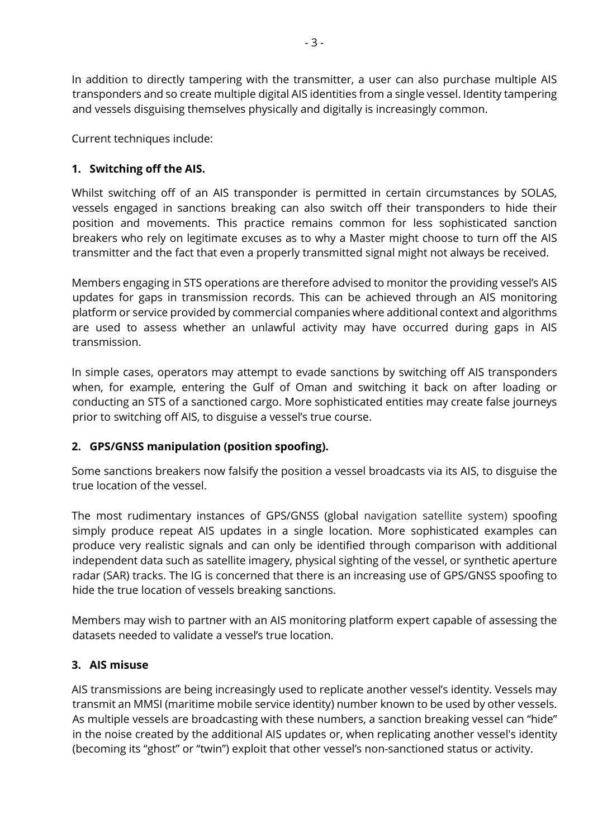In addition to directly tampering with the transmitter, a user can also purchase multiple AIS transponders and so create multiple digital AIS identities from a single vessel. Identity tampering and vessels disguising themselves physically and digitally is increasingly common.

Current techniques include:

# **1. Switching off the AIS.**

Whilst switching off of an AIS transponder is permitted in certain circumstances by SOLAS, vessels engaged in sanctions breaking can also switch off their transponders to hide their position and movements. This practice remains common for less sophisticated sanction breakers who rely on legitimate excuses as to why a Master might choose to turn off the AIS transmitter and the fact that even a properly transmitted signal might not always be received.

Members engaging in STS operations are therefore advised to monitor the providing vessel's AIS updates for gaps in transmission records. This can be achieved through an AIS monitoring platform or service provided by commercial companies where additional context and algorithms are used to assess whether an unlawful activity may have occurred during gaps in AIS transmission.

In simple cases, operators may attempt to evade sanctions by switching off AIS transponders when, for example, entering the Gulf of Oman and switching it back on after loading or conducting an STS of a sanctioned cargo. More sophisticated entities may create false journeys prior to switching off AIS, to disguise a vessel's true course.

# **2. GPS/GNSS manipulation (position spoofing).**

Some sanctions breakers now falsify the position a vessel broadcasts via its AIS, to disguise the true location of the vessel.

The most rudimentary instances of GPS/GNSS (global navigation satellite system) spoofing simply produce repeat AIS updates in a single location. More sophisticated examples can produce very realistic signals and can only be identified through comparison with additional independent data such as satellite imagery, physical sighting of the vessel, or synthetic aperture radar (SAR) tracks. The IG is concerned that there is an increasing use of GPS/GNSS spoofing to hide the true location of vessels breaking sanctions.

Members may wish to partner with an AIS monitoring platform expert capable of assessing the datasets needed to validate a vessel's true location.

# **3. AIS misuse**

AIS transmissions are being increasingly used to replicate another vessel's identity. Vessels may transmit an MMSI (maritime mobile service identity) number known to be used by other vessels. As multiple vessels are broadcasting with these numbers, a sanction breaking vessel can "hide" in the noise created by the additional AIS updates or, when replicating another vessel's identity (becoming its "ghost" or "twin") exploit that other vessel's non-sanctioned status or activity.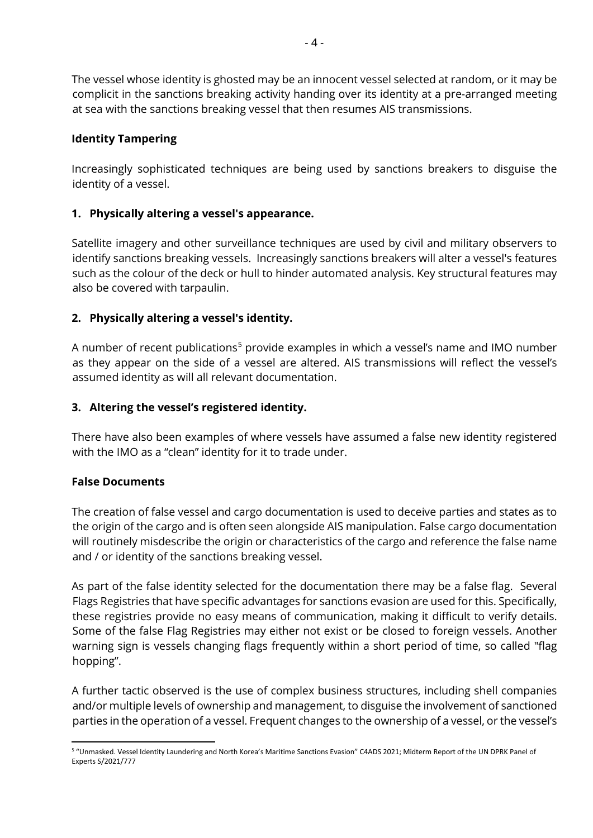The vessel whose identity is ghosted may be an innocent vessel selected at random, or it may be complicit in the sanctions breaking activity handing over its identity at a pre-arranged meeting at sea with the sanctions breaking vessel that then resumes AIS transmissions.

# **Identity Tampering**

Increasingly sophisticated techniques are being used by sanctions breakers to disguise the identity of a vessel.

# **1. Physically altering a vessel's appearance.**

Satellite imagery and other surveillance techniques are used by civil and military observers to identify sanctions breaking vessels. Increasingly sanctions breakers will alter a vessel's features such as the colour of the deck or hull to hinder automated analysis. Key structural features may also be covered with tarpaulin.

# **2. Physically altering a vessel's identity.**

A number of recent publications<sup>[5](#page-3-0)</sup> provide examples in which a vessel's name and IMO number as they appear on the side of a vessel are altered. AIS transmissions will reflect the vessel's assumed identity as will all relevant documentation.

# **3. Altering the vessel's registered identity.**

There have also been examples of where vessels have assumed a false new identity registered with the IMO as a "clean" identity for it to trade under.

# **False Documents**

The creation of false vessel and cargo documentation is used to deceive parties and states as to the origin of the cargo and is often seen alongside AIS manipulation. False cargo documentation will routinely misdescribe the origin or characteristics of the cargo and reference the false name and / or identity of the sanctions breaking vessel.

As part of the false identity selected for the documentation there may be a false flag. Several Flags Registries that have specific advantages for sanctions evasion are used for this. Specifically, these registries provide no easy means of communication, making it difficult to verify details. Some of the false Flag Registries may either not exist or be closed to foreign vessels. Another warning sign is vessels changing flags frequently within a short period of time, so called "flag hopping".

A further tactic observed is the use of complex business structures, including shell companies and/or multiple levels of ownership and management, to disguise the involvement of sanctioned parties in the operation of a vessel. Frequent changes to the ownership of a vessel, or the vessel's

<span id="page-3-0"></span><sup>-</sup><sup>5</sup> "Unmasked. Vessel Identity Laundering and North Korea's Maritime Sanctions Evasion" C4ADS 2021; Midterm Report of the UN DPRK Panel of Experts S/2021/777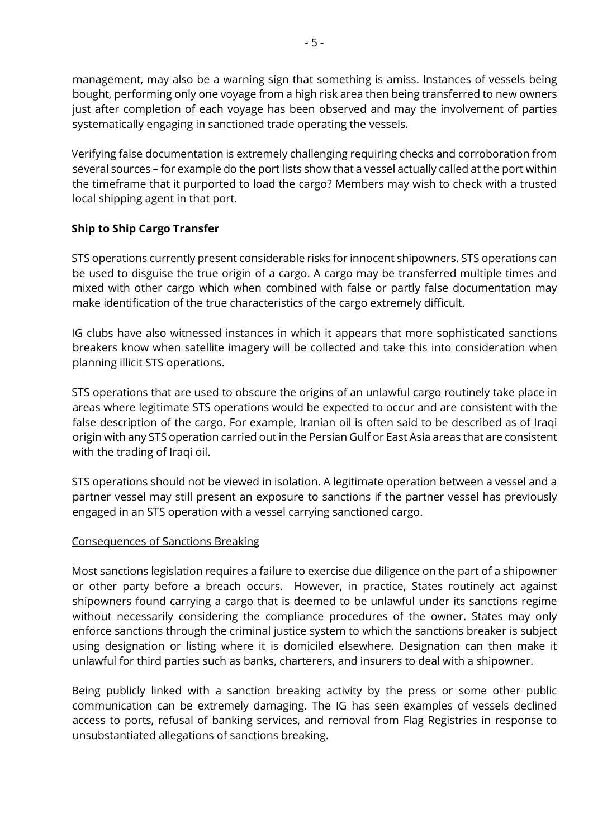management, may also be a warning sign that something is amiss. Instances of vessels being bought, performing only one voyage from a high risk area then being transferred to new owners just after completion of each voyage has been observed and may the involvement of parties systematically engaging in sanctioned trade operating the vessels.

Verifying false documentation is extremely challenging requiring checks and corroboration from several sources – for example do the port lists show that a vessel actually called at the port within the timeframe that it purported to load the cargo? Members may wish to check with a trusted local shipping agent in that port.

# **Ship to Ship Cargo Transfer**

STS operations currently present considerable risks for innocent shipowners. STS operations can be used to disguise the true origin of a cargo. A cargo may be transferred multiple times and mixed with other cargo which when combined with false or partly false documentation may make identification of the true characteristics of the cargo extremely difficult.

IG clubs have also witnessed instances in which it appears that more sophisticated sanctions breakers know when satellite imagery will be collected and take this into consideration when planning illicit STS operations.

STS operations that are used to obscure the origins of an unlawful cargo routinely take place in areas where legitimate STS operations would be expected to occur and are consistent with the false description of the cargo. For example, Iranian oil is often said to be described as of Iraqi origin with any STS operation carried out in the Persian Gulf or East Asia areas that are consistent with the trading of Iraqi oil.

STS operations should not be viewed in isolation. A legitimate operation between a vessel and a partner vessel may still present an exposure to sanctions if the partner vessel has previously engaged in an STS operation with a vessel carrying sanctioned cargo.

# Consequences of Sanctions Breaking

Most sanctions legislation requires a failure to exercise due diligence on the part of a shipowner or other party before a breach occurs. However, in practice, States routinely act against shipowners found carrying a cargo that is deemed to be unlawful under its sanctions regime without necessarily considering the compliance procedures of the owner. States may only enforce sanctions through the criminal justice system to which the sanctions breaker is subject using designation or listing where it is domiciled elsewhere. Designation can then make it unlawful for third parties such as banks, charterers, and insurers to deal with a shipowner.

Being publicly linked with a sanction breaking activity by the press or some other public communication can be extremely damaging. The IG has seen examples of vessels declined access to ports, refusal of banking services, and removal from Flag Registries in response to unsubstantiated allegations of sanctions breaking.